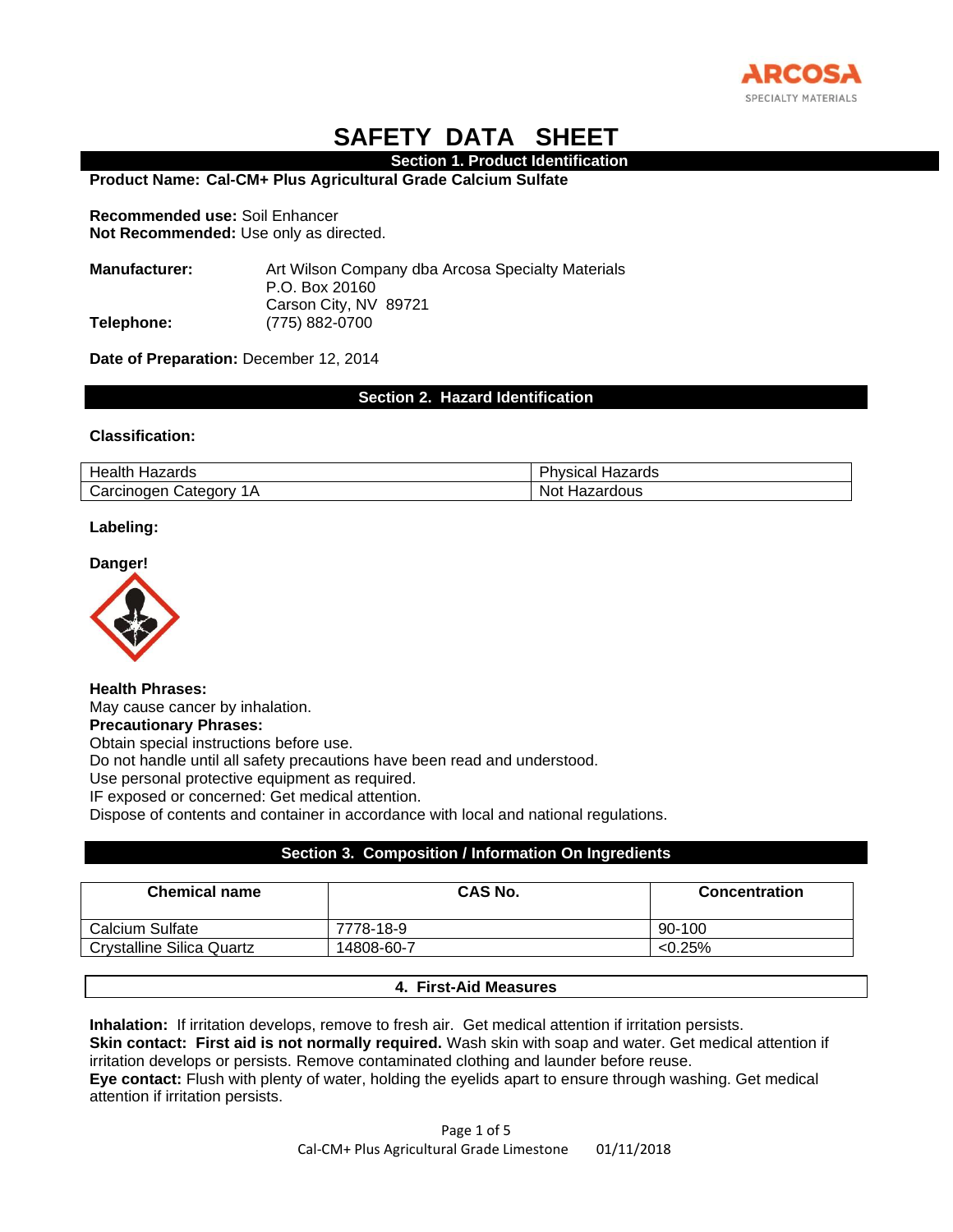

# **SAFETY DATA SHEET**

#### **Section 1. Product Identification**

**Product Name: Cal-CM+ Plus Agricultural Grade Calcium Sulfate**

**Recommended use:** Soil Enhancer **Not Recommended:** Use only as directed.

**Manufacturer:** Art Wilson Company dba Arcosa Specialty Materials P.O. Box 20160 Carson City, NV 89721 **Telephone:** (775) 882-0700

**Date of Preparation:** December 12, 2014

**Section 2. Hazard Identification**

## **Classification:**

| Hazards<br>Health                                                                   | DĿ<br>Hazards<br>'hvsıcal |
|-------------------------------------------------------------------------------------|---------------------------|
| $\overline{\phantom{a}}$<br>$\Lambda$<br>Carcinogen<br>′ ategoryب<br>$\cdot$ $\sim$ | Not<br>Hazardous          |

#### **Labeling:**

**Danger!**



**Health Phrases:** May cause cancer by inhalation. **Precautionary Phrases:** Obtain special instructions before use.

Do not handle until all safety precautions have been read and understood.

Use personal protective equipment as required.

IF exposed or concerned: Get medical attention.

Dispose of contents and container in accordance with local and national regulations.

## **Section 3. Composition / Information On Ingredients**

| <b>Chemical name</b>      | <b>CAS No.</b> | <b>Concentration</b> |
|---------------------------|----------------|----------------------|
| Calcium Sulfate           | 7778-18-9      | 90-100               |
| Crystalline Silica Quartz | 14808-60-7     | $< 0.25\%$           |

## **4. First-Aid Measures**

**Inhalation:** If irritation develops, remove to fresh air. Get medical attention if irritation persists. **Skin contact: First aid is not normally required.** Wash skin with soap and water. Get medical attention if irritation develops or persists. Remove contaminated clothing and launder before reuse. **Eye contact:** Flush with plenty of water, holding the eyelids apart to ensure through washing. Get medical attention if irritation persists.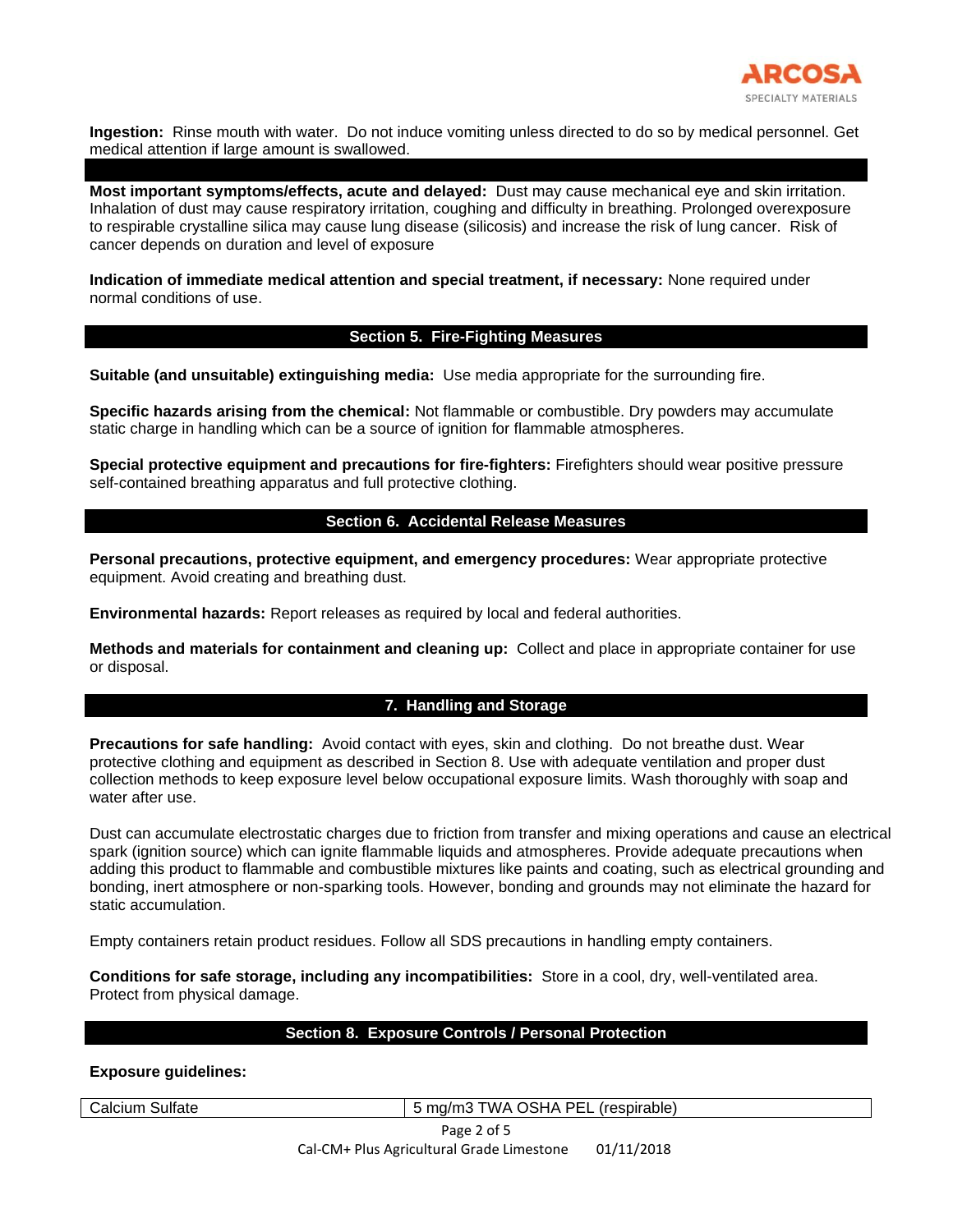

**Ingestion:** Rinse mouth with water. Do not induce vomiting unless directed to do so by medical personnel. Get medical attention if large amount is swallowed.

**Most important symptoms/effects, acute and delayed:** Dust may cause mechanical eye and skin irritation. Inhalation of dust may cause respiratory irritation, coughing and difficulty in breathing. Prolonged overexposure to respirable crystalline silica may cause lung disease (silicosis) and increase the risk of lung cancer. Risk of cancer depends on duration and level of exposure

**Indication of immediate medical attention and special treatment, if necessary:** None required under normal conditions of use.

#### **Section 5. Fire-Fighting Measures**

**Suitable (and unsuitable) extinguishing media:** Use media appropriate for the surrounding fire.

**Specific hazards arising from the chemical:** Not flammable or combustible. Dry powders may accumulate static charge in handling which can be a source of ignition for flammable atmospheres.

**Special protective equipment and precautions for fire-fighters:** Firefighters should wear positive pressure self-contained breathing apparatus and full protective clothing.

## **Section 6. Accidental Release Measures**

**Personal precautions, protective equipment, and emergency procedures:** Wear appropriate protective equipment. Avoid creating and breathing dust.

**Environmental hazards:** Report releases as required by local and federal authorities.

**Methods and materials for containment and cleaning up:** Collect and place in appropriate container for use or disposal.

# **7. Handling and Storage**

**Precautions for safe handling:** Avoid contact with eyes, skin and clothing. Do not breathe dust. Wear protective clothing and equipment as described in Section 8. Use with adequate ventilation and proper dust collection methods to keep exposure level below occupational exposure limits. Wash thoroughly with soap and water after use.

Dust can accumulate electrostatic charges due to friction from transfer and mixing operations and cause an electrical spark (ignition source) which can ignite flammable liquids and atmospheres. Provide adequate precautions when adding this product to flammable and combustible mixtures like paints and coating, such as electrical grounding and bonding, inert atmosphere or non-sparking tools. However, bonding and grounds may not eliminate the hazard for static accumulation.

Empty containers retain product residues. Follow all SDS precautions in handling empty containers.

**Conditions for safe storage, including any incompatibilities:** Store in a cool, dry, well-ventilated area. Protect from physical damage.

## **Section 8. Exposure Controls / Personal Protection**

**Exposure guidelines:**

Calcium Sulfate 5 mg/m3 TWA OSHA PEL (respirable)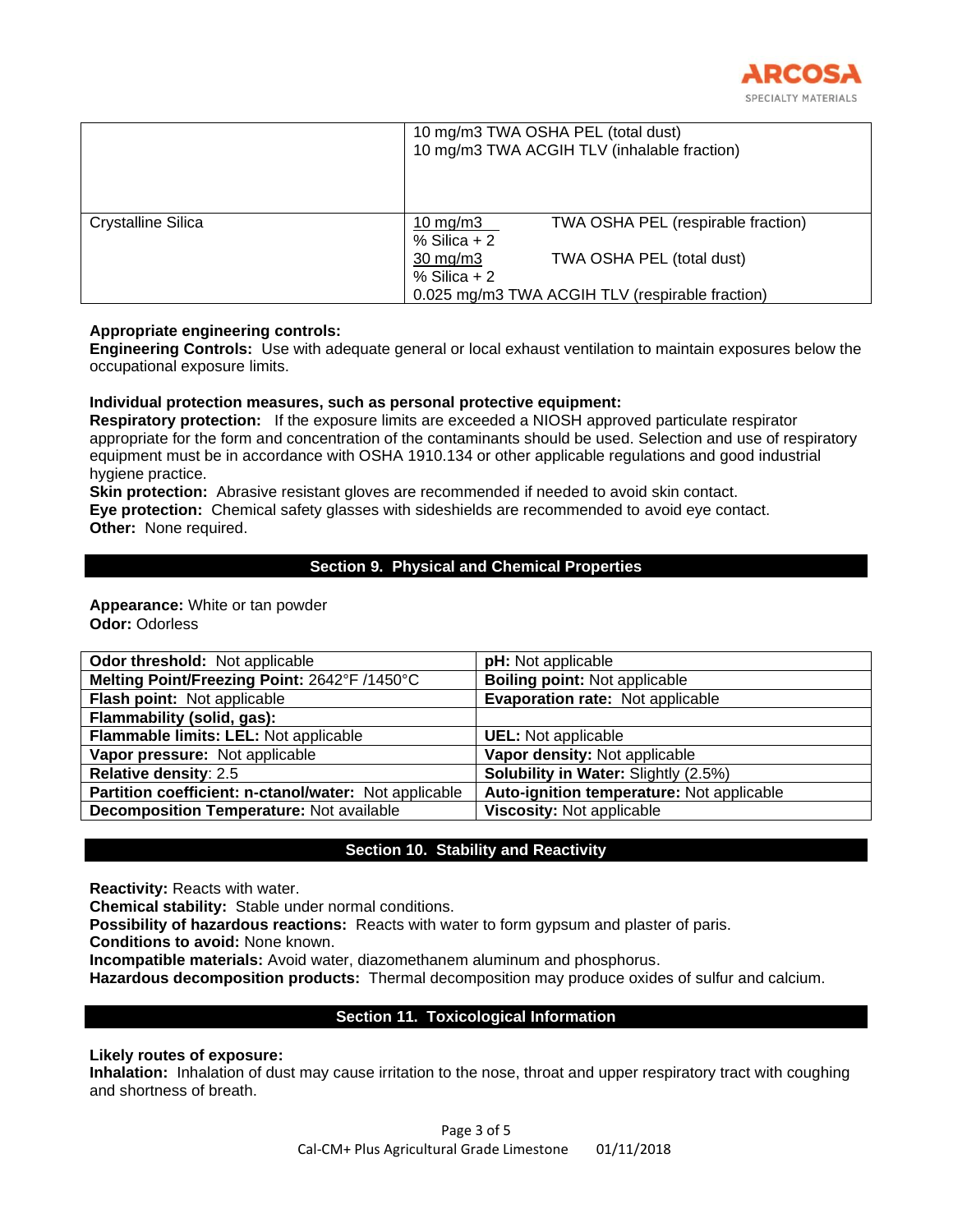

|                    | 10 mg/m3 TWA OSHA PEL (total dust)<br>10 mg/m3 TWA ACGIH TLV (inhalable fraction) |                                    |  |
|--------------------|-----------------------------------------------------------------------------------|------------------------------------|--|
| Crystalline Silica | 10 mg/m $3$<br>$%$ Silica + 2                                                     | TWA OSHA PEL (respirable fraction) |  |
|                    | $30 \text{ mg/m}$<br>$%$ Silica + 2                                               | TWA OSHA PEL (total dust)          |  |
|                    | 0.025 mg/m3 TWA ACGIH TLV (respirable fraction)                                   |                                    |  |

## **Appropriate engineering controls:**

**Engineering Controls:** Use with adequate general or local exhaust ventilation to maintain exposures below the occupational exposure limits.

# **Individual protection measures, such as personal protective equipment:**

**Respiratory protection:** If the exposure limits are exceeded a NIOSH approved particulate respirator appropriate for the form and concentration of the contaminants should be used. Selection and use of respiratory equipment must be in accordance with OSHA 1910.134 or other applicable regulations and good industrial hygiene practice.

**Skin protection:** Abrasive resistant gloves are recommended if needed to avoid skin contact. **Eye protection:** Chemical safety glasses with sideshields are recommended to avoid eye contact. **Other:** None required.

# **Section 9. Physical and Chemical Properties**

**Appearance:** White or tan powder **Odor:** Odorless

| <b>Odor threshold:</b> Not applicable                 | pH: Not applicable                        |
|-------------------------------------------------------|-------------------------------------------|
| Melting Point/Freezing Point: 2642°F /1450°C          | <b>Boiling point: Not applicable</b>      |
| Flash point: Not applicable                           | Evaporation rate: Not applicable          |
| Flammability (solid, gas):                            |                                           |
| Flammable limits: LEL: Not applicable                 | <b>UEL:</b> Not applicable                |
| Vapor pressure: Not applicable                        | Vapor density: Not applicable             |
| Relative density: 2.5                                 | Solubility in Water: Slightly (2.5%)      |
| Partition coefficient: n-ctanol/water: Not applicable | Auto-ignition temperature: Not applicable |
| <b>Decomposition Temperature: Not available</b>       | Viscosity: Not applicable                 |

# **Section 10. Stability and Reactivity**

**Reactivity:** Reacts with water.

**Chemical stability:** Stable under normal conditions.

**Possibility of hazardous reactions:** Reacts with water to form gypsum and plaster of paris.

**Conditions to avoid:** None known.

**Incompatible materials:** Avoid water, diazomethanem aluminum and phosphorus.

**Hazardous decomposition products:** Thermal decomposition may produce oxides of sulfur and calcium.

# **Section 11. Toxicological Information**

## **Likely routes of exposure:**

**Inhalation:** Inhalation of dust may cause irritation to the nose, throat and upper respiratory tract with coughing and shortness of breath.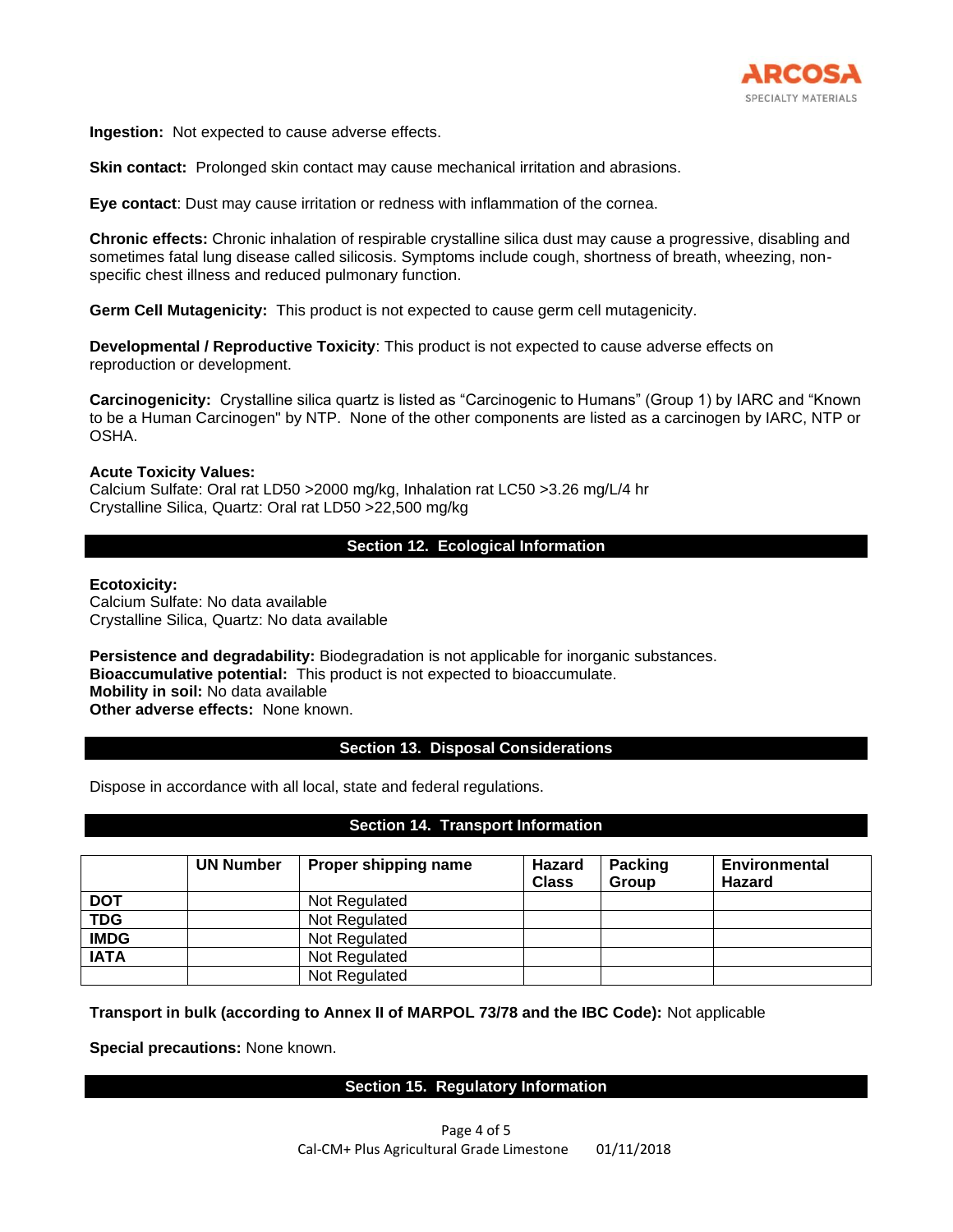

**Ingestion:** Not expected to cause adverse effects.

**Skin contact:** Prolonged skin contact may cause mechanical irritation and abrasions.

**Eye contact**: Dust may cause irritation or redness with inflammation of the cornea.

**Chronic effects:** Chronic inhalation of respirable crystalline silica dust may cause a progressive, disabling and sometimes fatal lung disease called silicosis. Symptoms include cough, shortness of breath, wheezing, nonspecific chest illness and reduced pulmonary function.

**Germ Cell Mutagenicity:** This product is not expected to cause germ cell mutagenicity.

**Developmental / Reproductive Toxicity**: This product is not expected to cause adverse effects on reproduction or development.

**Carcinogenicity:** Crystalline silica quartz is listed as "Carcinogenic to Humans" (Group 1) by IARC and "Known to be a Human Carcinogen" by NTP. None of the other components are listed as a carcinogen by IARC, NTP or OSHA.

## **Acute Toxicity Values:**

Calcium Sulfate: Oral rat LD50 >2000 mg/kg, Inhalation rat LC50 >3.26 mg/L/4 hr Crystalline Silica, Quartz: Oral rat LD50 >22,500 mg/kg

## **Section 12. Ecological Information**

#### **Ecotoxicity:**

Calcium Sulfate: No data available Crystalline Silica, Quartz: No data available

**Persistence and degradability:** Biodegradation is not applicable for inorganic substances. **Bioaccumulative potential:** This product is not expected to bioaccumulate. **Mobility in soil:** No data available

**Other adverse effects:** None known.

## **Section 13. Disposal Considerations**

Dispose in accordance with all local, state and federal regulations.

## **Section 14. Transport Information**

|             | <b>UN Number</b> | Proper shipping name | <b>Hazard</b><br><b>Class</b> | <b>Packing</b><br><b>Group</b> | <b>Environmental</b><br><b>Hazard</b> |
|-------------|------------------|----------------------|-------------------------------|--------------------------------|---------------------------------------|
| <b>DOT</b>  |                  | Not Regulated        |                               |                                |                                       |
| <b>TDG</b>  |                  | Not Regulated        |                               |                                |                                       |
| <b>IMDG</b> |                  | Not Regulated        |                               |                                |                                       |
| <b>IATA</b> |                  | Not Regulated        |                               |                                |                                       |
|             |                  | Not Regulated        |                               |                                |                                       |

**Transport in bulk (according to Annex II of MARPOL 73/78 and the IBC Code):** Not applicable

**Special precautions:** None known.

## **Section 15. Regulatory Information**